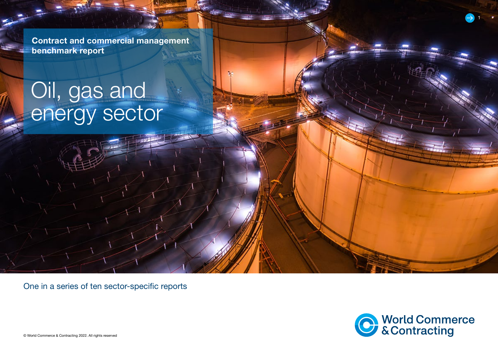Contract and commercial management benchmark report

# Oil, gas and energy sector

One in a series of ten sector-specific reports



1

© World Commerce & Contracting 2022. All rights reserved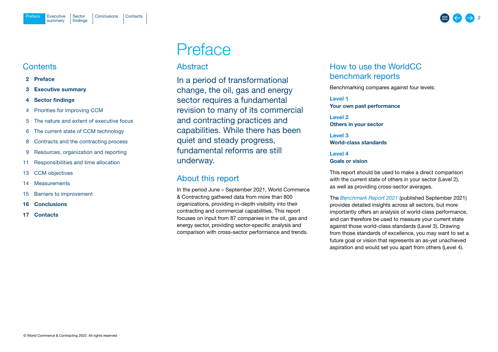## <span id="page-1-0"></span>**Contents**

- 2 Preface
- 3 [Executive summary](#page-2-0)
- 4 [Sector findings](#page-3-0)
- 4 [Priorities for improving CCM](#page-3-0)
- 5 [The nature and extent of executive focus](#page-4-0)
- 6 [The current state of CCM technology](#page-5-0)
- 8 [Contracts and the contracting process](#page-7-0)
- 9 [Resources, organization and reporting](#page-8-0)
- 11 [Responsibilities and time allocation](#page-10-0)
- 13 [CCM objectives](#page-12-0)
- 14 [Measurements](#page-13-0)
- 15 [Barriers to improvement](#page-14-0)
- 16 [Conclusions](#page-15-0)
- 17 [Contacts](#page-16-0)

## Preface

## Abstract

In a period of transformational change, the oil, gas and energy sector requires a fundamental revision to many of its commercial and contracting practices and capabilities. While there has been quiet and steady progress, fundamental reforms are still underway.

## About this report

In the period June – September 2021, World Commerce & Contracting gathered data from more than 800 organizations, providing in-depth visibility into their contracting and commercial capabilities. This report focuses on input from 87 companies in the oil, gas and energy sector, providing sector-specific analysis and comparison with cross-sector performance and trends.

## How to use the WorldCC benchmark reports

Benchmarking compares against four levels:

Level 1 Your own past performance

Level 2 Others in your sector

Level 3 World-class standards

Level 4 Goals or vision

This report should be used to make a direct comparison with the current state of others in your sector (Level 2), as well as providing cross-sector averages.

The *[Benchmark Report](https://www.worldcc.com/Portals/IACCM/Resources/WorldCC-Benchmark-report-2021.pdf?ver=NPQMEljK4Q-meXZLABtd2w%3d%3d) 2021* (published September 2021) provides detailed insights across all sectors, but more importantly offers an analysis of world-class performance, and can therefore be used to measure your current state against those world-class standards (Level 3). Drawing from those standards of excellence, you may want to set a future goal or vision that represents an as-yet unachieved aspiration and would set you apart from others (Level 4).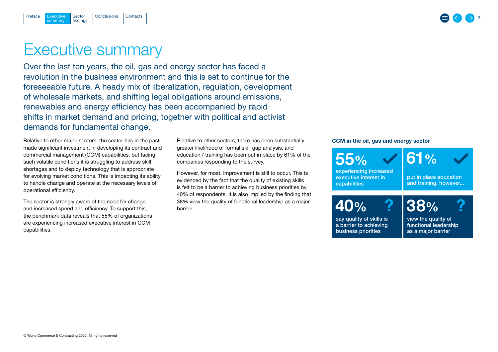## Executive summary

Executive Sector [Conclusions](#page-15-0) [Contacts](#page-16-0)

Sector findings

summary

<span id="page-2-0"></span>[Preface](#page-1-0)

Over the last ten years, the oil, gas and energy sector has faced a revolution in the business environment and this is set to continue for the foreseeable future. A heady mix of liberalization, regulation, development of wholesale markets, and shifting legal obligations around emissions, renewables and energy efficiency has been accompanied by rapid shifts in market demand and pricing, together with political and activist demands for fundamental change.

Relative to other major sectors, the sector has in the past made significant investment in developing its contract and commercial management (CCM) capabilities, but facing such volatile conditions it is struggling to address skill shortages and to deploy technology that is appropriate for evolving market conditions. This is impacting its ability to handle change and operate at the necessary levels of operational efficiency.

The sector is strongly aware of the need for change and increased speed and efficiency. To support this, the benchmark data reveals that 55% of organizations are experiencing increased executive interest in CCM capabilities.

Relative to other sectors, there has been substantially greater likelihood of formal skill gap analysis, and education / training has been put in place by 61% of the companies responding to the survey.

However, for most, improvement is still to occur. This is evidenced by the fact that the quality of existing skills is felt to be a barrier to achieving business priorities by 40% of respondents. It is also implied by the finding that 38% view the quality of functional leadership as a major barrier.

#### CCM in the oil, gas and energy sector



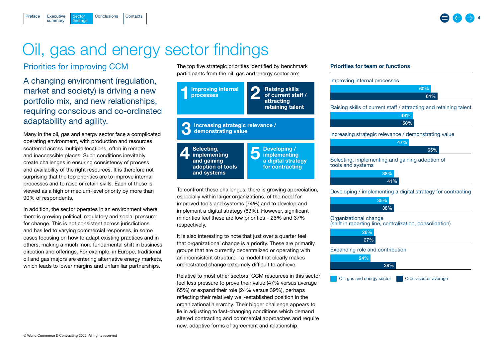## Oil, gas and energy sector findings

## Priorities for improving CCM

Sector findings

summary

<span id="page-3-0"></span>[Preface](#page-1-0)

A changing environment (regulation, market and society) is driving a new portfolio mix, and new relationships, requiring conscious and co-ordinated adaptability and agility.

[Executive](#page-2-0) Sector [Conclusions](#page-15-0) [Contacts](#page-16-0)

Many in the oil, gas and energy sector face a complicated operating environment, with production and resources scattered across multiple locations, often in remote and inaccessible places. Such conditions inevitably create challenges in ensuring consistency of process and availability of the right resources. It is therefore not surprising that the top priorities are to improve internal processes and to raise or retain skills. Each of these is viewed as a high or medium-level priority by more than 90% of respondents.

In addition, the sector operates in an environment where there is growing political, regulatory and social pressure for change. This is not consistent across jurisdictions and has led to varying commercial responses, in some cases focusing on how to adapt existing practices and in others, making a much more fundamental shift in business direction and offerings. For example, in Europe, traditional oil and gas majors are entering alternative energy markets, which leads to lower margins and unfamiliar partnerships.

The top five strategic priorities identified by benchmark participants from the oil, gas and energy sector are:



To confront these challenges, there is growing appreciation, especially within larger organizations, of the need for improved tools and systems (74%) and to develop and implement a digital strategy (63%). However, significant minorities feel these are low priorities – 26% and 37% respectively.

It is also interesting to note that just over a quarter feel that organizational change is a priority. These are primarily groups that are currently decentralized or operating with an inconsistent structure – a model that clearly makes orchestrated change extremely difficult to achieve.

Relative to most other sectors, CCM resources in this sector feel less pressure to prove their value (47% versus average 65%) or expand their role (24% versus 39%), perhaps reflecting their relatively well-established position in the organizational hierarchy. Their bigger challenge appears to lie in adjusting to fast-changing conditions which demand altered contracting and commercial approaches and require new, adaptive forms of agreement and relationship.

#### Priorities for team or functions

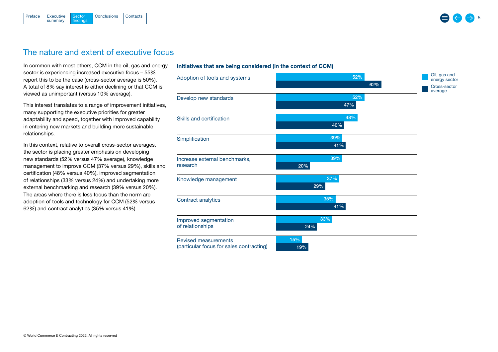<span id="page-4-0"></span>

## The nature and extent of executive focus

In common with most others, CCM in the oil, gas and energy sector is experiencing increased executive focus – 55% report this to be the case (cross-sector average is 50%). A total of 8% say interest is either declining or that CCM is viewed as unimportant (versus 10% average).

This interest translates to a range of improvement initiatives, many supporting the executive priorities for greater adaptability and speed, together with improved capability in entering new markets and building more sustainable relationships.

In this context, relative to overall cross-sector averages, the sector is placing greater emphasis on developing new standards (52% versus 47% average), knowledge management to improve CCM (37% versus 29%), skills and certification (48% versus 40%), improved segmentation of relationships (33% versus 24%) and undertaking more external benchmarking and research (39% versus 20%). The areas where there is less focus than the norm are adoption of tools and technology for CCM (52% versus 62%) and contract analytics (35% versus 41%).

#### Initiatives that are being considered (in the context of CCM)

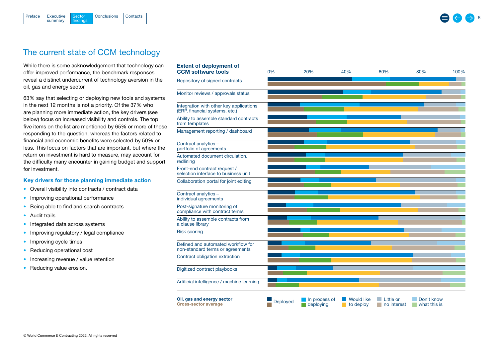<span id="page-5-0"></span>

## The current state of CCM technology

While there is some acknowledgement that technology can offer improved performance, the benchmark responses reveal a distinct undercurrent of technology aversion in the oil, gas and energy sector.

Extent of deployment of

63% say that selecting or deploying new tools and systems in the next 12 months is not a priority. Of the 37% who are planning more immediate action, the key drivers (see below) focus on increased visibility and controls. The top five items on the list are mentioned by 65% or more of those responding to the question, whereas the factors related to financial and economic benefits were selected by 50% or less. This focus on factors that are important, but where the return on investment is hard to measure, may account for the difficulty many encounter in gaining budget and support for investment.

#### Key drivers for those planning immediate action

- Overall visibility into contracts / contract data
- Improving operational performance
- Being able to find and search contracts
- Audit trails
- Integrated data across systems
- Improving regulatory / legal compliance
- Improving cycle times
- Reducing operational cost
- Increasing revenue / value retention
- Reducing value erosion.

| win vi uvprojinom vi<br><b>CCM software tools</b>                         | 0%       | 20%                        | 40%                            | 60%                      | 80%                        | 100% |
|---------------------------------------------------------------------------|----------|----------------------------|--------------------------------|--------------------------|----------------------------|------|
| Repository of signed contracts                                            |          |                            |                                |                          |                            |      |
| Monitor reviews / approvals status                                        |          |                            |                                |                          |                            |      |
| Integration with other key applications<br>(ERP, financial systems, etc.) |          |                            |                                |                          |                            |      |
| Ability to assemble standard contracts<br>from templates                  |          |                            |                                |                          |                            |      |
| Management reporting / dashboard                                          |          |                            |                                |                          |                            |      |
| Contract analytics -<br>portfolio of agreements                           |          |                            |                                |                          |                            |      |
| Automated document circulation,<br>redlining                              |          |                            |                                |                          |                            |      |
| Front-end contract request /<br>selection interface to business unit      |          |                            |                                |                          |                            |      |
| Collaboration portal for joint editing                                    |          |                            |                                |                          |                            |      |
| Contract analytics -<br>individual agreements                             |          |                            |                                |                          |                            |      |
| Post-signature monitoring of<br>compliance with contract terms            |          |                            |                                |                          |                            |      |
| Ability to assemble contracts from<br>a clause library                    |          |                            |                                |                          |                            |      |
| <b>Risk scoring</b>                                                       |          |                            |                                |                          |                            |      |
| Defined and automated workflow for<br>non-standard terms or agreements    |          |                            |                                |                          |                            |      |
| Contract obligation extraction                                            |          |                            |                                |                          |                            |      |
| Digitized contract playbooks                                              |          |                            |                                |                          |                            |      |
| Artificial intelligence / machine learning                                |          |                            |                                |                          |                            |      |
| Oil, gas and energy sector<br><b>Cross-sector average</b>                 | Deployed | In process of<br>deploying | <b>Would like</b><br>to deploy | Little or<br>no interest | Don't know<br>what this is |      |

6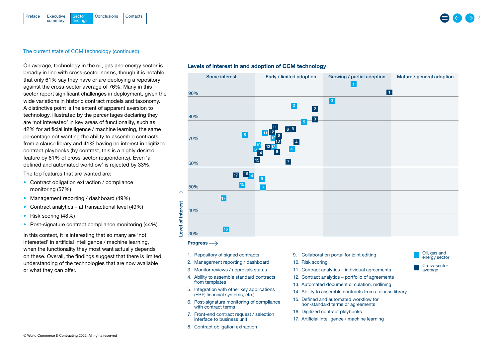

#### The current state of CCM technology (continued)

On average, technology in the oil, gas and energy sector is broadly in line with cross-sector norms, though it is notable that only 61% say they have or are deploying a repository against the cross-sector average of 76%. Many in this sector report significant challenges in deployment, given the wide variations in historic contract models and taxonomy. A distinctive point is the extent of apparent aversion to technology, illustrated by the percentages declaring they are 'not interested' in key areas of functionality, such as 42% for artificial intelligence / machine learning, the same percentage not wanting the ability to assemble contracts from a clause library and 41% having no interest in digitized contract playbooks (by contrast, this is a highly desired feature by 61% of cross-sector respondents). Even 'a defined and automated workflow' is rejected by 33%.

The top features that are wanted are:

- Contract obligation extraction / compliance monitoring (57%)
- Management reporting / dashboard (49%)
- Contract analytics at transactional level (49%)
- Risk scoring (48%)
- Post-signature contract compliance monitoring (44%)

In this context, it is interesting that so many are 'not interested' in artificial intelligence / machine learning, when the functionality they most want actually depends on these. Overall, the findings suggest that there is limited understanding of the technologies that are now available or what they can offer.





#### Progress  $\longrightarrow$

- 1. Repository of signed contracts
- 2. Management reporting / dashboard
- 3. Monitor reviews / approvals status
- 4. Ability to assemble standard contracts from templates
- 5. Integration with other key applications (ERP, financial systems, etc.)
- 6. Post-signature monitoring of compliance with contract terms
- 7. Front-end contract request / selection interface to business unit
- 8. Contract obligation extraction
- 9. Collaboration portal for joint editing
- 10. Risk scoring
- 11. Contract analytics individual agreements
- 12. Contract analytics portfolio of agreements
- 13. Automated document circulation, redlining
- 14. Ability to assemble contracts from a clause library
- 15. Defined and automated workflow for non-standard terms or agreements
- 16. Digitized contract playbooks
- 17. Artificial intelligence / machine learning



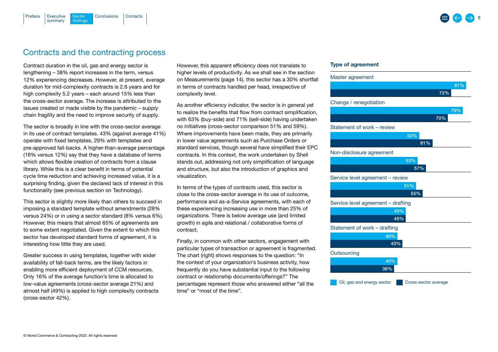#### <span id="page-7-0"></span>[Executive](#page-2-0) Sector [Conclusions](#page-15-0) [Contacts](#page-16-0) summary Sector findings [Preface](#page-1-0)

## Contracts and the contracting process

Contract duration in the oil, gas and energy sector is lengthening – 38% report increases in the term, versus 12% experiencing decreases. However, at present, average duration for mid-complexity contracts is 2.6 years and for high complexity 5.2 years – each around 15% less than the cross-sector average. The increase is attributed to the issues created or made visible by the pandemic – supply chain fragility and the need to improve security of supply.

The sector is broadly in line with the cross-sector average in its use of contract templates. 43% (against average 41%) operate with fixed templates, 29% with templates and pre-approved fall-backs. A higher-than-average percentage (16% versus 12%) say that they have a database of terms which allows flexible creation of contracts from a clause library. While this is a clear benefit in terms of potential cycle time reduction and achieving increased value, it is a surprising finding, given the declared lack of interest in this functionality (see previous section on Technology).

This sector is slightly more likely than others to succeed in imposing a standard template without amendments (28% versus 24%) or in using a sector standard (8% versus 6%). However, this means that almost 65% of agreements are to some extent negotiated. Given the extent to which this sector has developed standard forms of agreement, it is interesting how little they are used.

Greater success in using templates, together with wider availability of fall-back terms, are the likely factors in enabling more efficient deployment of CCM resources. Only 16% of the average function's time is allocated to low-value agreements (cross-sector average 21%) and almost half (49%) is applied to high complexity contracts (cross-sector 42%).

However, this apparent efficiency does not translate to higher levels of productivity. As we shall see in the section on Measurements (page 14), this sector has a 30% shortfall in terms of contracts handled per head, irrespective of complexity level.

As another efficiency indicator, the sector is in general yet to realize the benefits that flow from contract simplification, with 63% (buy-side) and 71% (sell-side) having undertaken no initiatives (cross-sector comparison 51% and 59%). Where improvements have been made, they are primarily in lower value agreements such as Purchase Orders or standard services, though several have simplified their EPC contracts. In this context, the work undertaken by Shell stands out, addressing not only simplification of language and structure, but also the introduction of graphics and visualization.

In terms of the types of contracts used, this sector is close to the cross-sector average in its use of outcome, performance and as-a-Service agreements, with each of these experiencing increasing use in more than 25% of organizations. There is below average use (and limited growth) in agile and relational / collaborative forms of contract.

Finally, in common with other sectors, engagement with particular types of transaction or agreement is fragmented. The chart (right) shows responses to the question: "In the context of your organization's business activity, how frequently do you have substantial input to the following contract or relationship documents/offerings?" The percentages represent those who answered either "all the time" or "most of the time".

#### Type of agreement

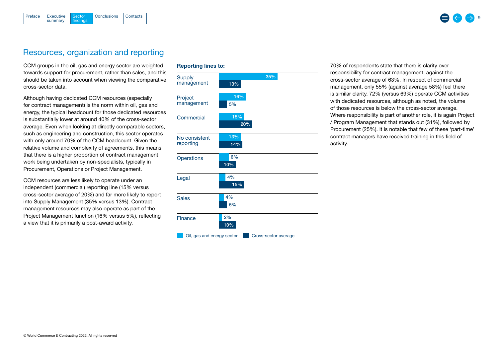<span id="page-8-0"></span>

### Resources, organization and reporting

CCM groups in the oil, gas and energy sector are weighted towards support for procurement, rather than sales, and this should be taken into account when viewing the comparative cross-sector data.

Although having dedicated CCM resources (especially for contract management) is the norm within oil, gas and energy, the typical headcount for those dedicated resources is substantially lower at around 40% of the cross-sector average. Even when looking at directly comparable sectors, such as engineering and construction, this sector operates with only around 70% of the CCM headcount. Given the relative volume and complexity of agreements, this means that there is a higher proportion of contract management work being undertaken by non-specialists, typically in Procurement, Operations or Project Management.

CCM resources are less likely to operate under an independent (commercial) reporting line (15% versus cross-sector average of 20%) and far more likely to report into Supply Management (35% versus 13%). Contract management resources may also operate as part of the Project Management function (16% versus 5%), reflecting a view that it is primarily a post-award activity.

#### Reporting lines to:



70% of respondents state that there is clarity over responsibility for contract management, against the cross-sector average of 63%. In respect of commercial management, only 55% (against average 58%) feel there is similar clarity. 72% (versus 69%) operate CCM activities with dedicated resources, although as noted, the volume of those resources is below the cross-sector average. Where responsibility is part of another role, it is again Project / Program Management that stands out (31%), followed by Procurement (25%). It is notable that few of these 'part-time' contract managers have received training in this field of activity.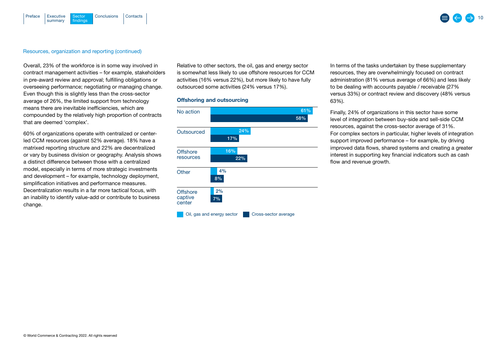#### [Executive](#page-2-0) Sector [Conclusions](#page-15-0) [Contacts](#page-16-0) summary Sector findings [Preface](#page-1-0)

#### Resources, organization and reporting (continued)

Overall, 23% of the workforce is in some way involved in contract management activities – for example, stakeholders in pre-award review and approval; fulfilling obligations or overseeing performance; negotiating or managing change. Even though this is slightly less than the cross-sector average of 26%, the limited support from technology means there are inevitable inefficiencies, which are compounded by the relatively high proportion of contracts that are deemed 'complex'.

60% of organizations operate with centralized or centerled CCM resources (against 52% average). 18% have a matrixed reporting structure and 22% are decentralized or vary by business division or geography. Analysis shows a distinct difference between those with a centralized model, especially in terms of more strategic investments and development – for example, technology deployment, simplification initiatives and performance measures. Decentralization results in a far more tactical focus, with an inability to identify value-add or contribute to business change.

Relative to other sectors, the oil, gas and energy sector is somewhat less likely to use offshore resources for CCM activities (16% versus 22%), but more likely to have fully outsourced some activities (24% versus 17%).

#### Offshoring and outsourcing



In terms of the tasks undertaken by these supplementary resources, they are overwhelmingly focused on contract administration (81% versus average of 66%) and less likely to be dealing with accounts payable / receivable (27% versus 33%) or contract review and discovery (48% versus 63%).

Finally, 24% of organizations in this sector have some level of integration between buy-side and sell-side CCM resources, against the cross-sector average of 31%. For complex sectors in particular, higher levels of integration support improved performance – for example, by driving improved data flows, shared systems and creating a greater interest in supporting key financial indicators such as cash flow and revenue growth.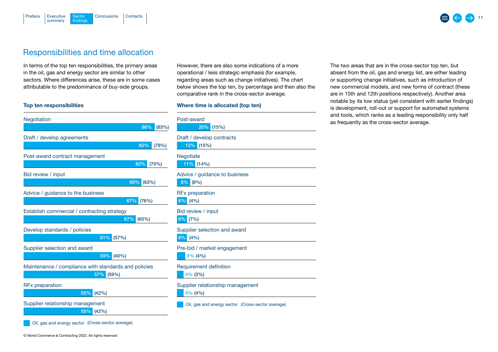

## Responsibilities and time allocation

[Executive](#page-2-0) Sector [Conclusions](#page-15-0) [Contacts](#page-16-0)

**Sector** findings

In terms of the top ten responsibilities, the primary areas in the oil, gas and energy sector are similar to other sectors. Where differences arise, these are in some cases attributable to the predominance of buy-side groups.

#### Top ten responsibilities

summary

<span id="page-10-0"></span>[Preface](#page-1-0)

| Negotiation                                          |
|------------------------------------------------------|
| 86%<br>(83%)                                         |
| Draft / develop agreements                           |
| 82%<br>(79%)                                         |
| Post-award contract management                       |
| 82%<br>(70%)                                         |
| Bid review / input                                   |
| 69%<br>(63%)                                         |
| Advice / guidance to the business                    |
| 67%<br>(76%)                                         |
| Establish commercial / contracting strategy          |
| 67%<br>(65%)                                         |
| Develop standards / policies                         |
| 61%<br>(57%)                                         |
| Supplier selection and award                         |
| 59%<br>(40%)                                         |
| Maintenance / compliance with standards and policies |
| 57%<br>(59%)                                         |
| <b>RFx preparation</b>                               |
| 55%<br>(42%)                                         |
| Supplier relationship management                     |
| 55%<br>(42%)                                         |
| Oil, gas and energy sector (Cross-sector average)    |

However, there are also some indications of a more operational / less strategic emphasis (for example, regarding areas such as change initiatives). The chart below shows the top ten, by percentage and then also the comparative rank in the cross-sector average.

#### Where time is allocated (top ten)

| Post-award<br>20%<br>(15%)                        |
|---------------------------------------------------|
| Draft / develop contracts<br>12% (15%)            |
| Negotiate<br>$11\%$ (14%)                         |
| Advice / guidance to business<br>8%<br>(8%)       |
| <b>RFx preparation</b><br>6%<br>(4% )             |
| Bid review / input<br>6%<br>(7%)                  |
| Supplier selection and award<br>6%<br>(4%)        |
| Pre-bid / market engagement<br>5% (4%)            |
| <b>Requirement definition</b><br>$4\%$ (3%)       |
| Supplier relationship management<br>$4\%$ (4%)    |
| Oil, gas and energy sector (Cross-sector average) |

The two areas that are in the cross-sector top ten, but absent from the oil, gas and energy list, are either leading or supporting change initiatives, such as introduction of new commercial models, and new forms of contract (these are in 15th and 12th positions respectively). Another area notable by its low status (yet consistent with earlier findings) is development, roll-out or support for automated systems and tools, which ranks as a leading responsibility only half as frequently as the cross-sector average.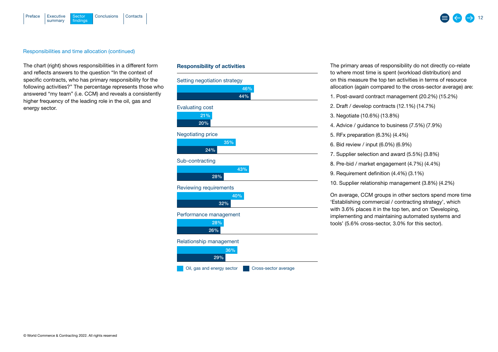



#### Responsibilities and time allocation (continued)

The chart (right) shows responsibilities in a different form and reflects answers to the question "In the context of specific contracts, who has primary responsibility for the following activities?" The percentage represents those who answered "my team" (i.e. CCM) and reveals a consistently higher frequency of the leading role in the oil, gas and energy sector.

| <b>Responsibility of activities</b> |
|-------------------------------------|
| Setting negotiation strategy        |
| 46%                                 |
| 44%                                 |
| <b>Evaluating cost</b>              |
| 21%                                 |
| 20%                                 |
| <b>Negotiating price</b>            |
| 35%                                 |
| 24%                                 |
| Sub-contracting                     |
| 43%                                 |
| 28%                                 |
| <b>Reviewing requirements</b>       |
| 40%                                 |
| 32%                                 |
| Performance management              |
| 28%                                 |
| 26%                                 |
| Relationship management             |
| 36%                                 |
| 29%                                 |

Oil, gas and energy sector **CRO** Cross-sector average

The primary areas of responsibility do not directly co-relate to where most time is spent (workload distribution) and on this measure the top ten activities in terms of resource allocation (again compared to the cross-sector average) are:

- 1. Post-award contract management (20.2%) (15.2%)
- 2. Draft / develop contracts (12.1%) (14.7%)
- 3. Negotiate (10.6%) (13.8%)
- 4. Advice / guidance to business (7.5%) (7.9%)
- 5. RFx preparation (6.3%) (4.4%)
- 6. Bid review / input (6.0%) (6.9%)
- 7. Supplier selection and award (5.5%) (3.8%)
- 8. Pre-bid / market engagement (4.7%) (4.4%)
- 9. Requirement definition (4.4%) (3.1%)
- 10. Supplier relationship management (3.8%) (4.2%)

On average, CCM groups in other sectors spend more time 'Establishing commercial / contracting strategy', which with 3.6% places it in the top ten, and on 'Developing, implementing and maintaining automated systems and tools' (5.6% cross-sector, 3.0% for this sector).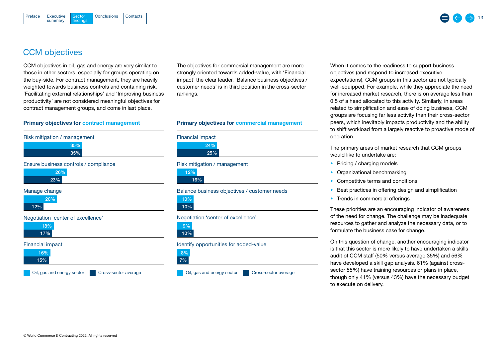## <span id="page-12-0"></span>CCM objectives

CCM objectives in oil, gas and energy are very similar to those in other sectors, especially for groups operating on the buy-side. For contract management, they are heavily weighted towards business controls and containing risk. 'Facilitating external relationships' and 'Improving business productivity' are not considered meaningful objectives for contract management groups, and come in last place.

#### Primary objectives for contract management





#### Manage change



#### Negotiation 'center of excellence'



#### Financial impact



Oil, gas and energy sector Cross-sector average



The objectives for commercial management are more strongly oriented towards added-value, with 'Financial impact' the clear leader. 'Balance business objectives / customer needs' is in third position in the cross-sector rankings.

#### Primary objectives for commercial management



Risk mitigation / management

16% 12%

Balance business objectives / customer needs

10% 10%

#### Negotiation 'center of excellence'

10% 9%

#### Identify opportunities for added-value



Oil, gas and energy sector Cross-sector average

When it comes to the readiness to support business objectives (and respond to increased executive expectations), CCM groups in this sector are not typically well-equipped. For example, while they appreciate the need for increased market research, there is on average less than 0.5 of a head allocated to this activity. Similarly, in areas related to simplification and ease of doing business, CCM groups are focusing far less activity than their cross-sector peers, which inevitably impacts productivity and the ability to shift workload from a largely reactive to proactive mode of operation.

The primary areas of market research that CCM groups would like to undertake are:

- Pricing / charging models
- Organizational benchmarking
- Competitive terms and conditions
- Best practices in offering design and simplification
- Trends in commercial offerings

These priorities are an encouraging indicator of awareness of the need for change. The challenge may be inadequate resources to gather and analyze the necessary data, or to formulate the business case for change.

On this question of change, another encouraging indicator is that this sector is more likely to have undertaken a skills audit of CCM staff (50% versus average 35%) and 56% have developed a skill gap analysis. 61% (against crosssector 55%) have training resources or plans in place, though only 41% (versus 43%) have the necessary budget to execute on delivery.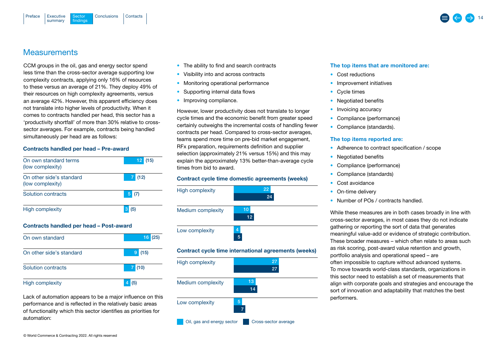<span id="page-13-0"></span>

### **Measurements**

CCM groups in the oil, gas and energy sector spend less time than the cross-sector average supporting low complexity contracts, applying only 16% of resources to these versus an average of 21%. They deploy 49% of their resources on high complexity agreements, versus an average 42%. However, this apparent efficiency does not translate into higher levels of productivity. When it comes to contracts handled per head, this sector has a 'productivity shortfall' of more than 30% relative to crosssector averages. For example, contracts being handled simultaneously per head are as follows:

#### Contracts handled per head – Pre-award

| On own standard terms<br>(low complexity)    | 12<br>(15)            |  |  |  |  |  |
|----------------------------------------------|-----------------------|--|--|--|--|--|
| On other side's standard<br>(low complexity) | 7<br>(12)             |  |  |  |  |  |
| Solution contracts                           | 5<br>(7)              |  |  |  |  |  |
| High complexity                              | 3 <sup>1</sup><br>(5) |  |  |  |  |  |
| Contracts handled per head - Post-award      |                       |  |  |  |  |  |
| On own standard                              | 16<br>(25             |  |  |  |  |  |
| On other side's standard                     | '15)<br>9             |  |  |  |  |  |

Lack of automation appears to be a major influence on this performance and is reflected in the relatively basic areas of functionality which this sector identifies as priorities for

Solution contracts 7 (10)

High complexity and the state of  $\overline{4}$  (5)

- The ability to find and search contracts
- Visibility into and across contracts
- Monitoring operational performance
- Supporting internal data flows
- Improving compliance.

However, lower productivity does not translate to longer cycle times and the economic benefit from greater speed certainly outweighs the incremental costs of handling fewer contracts per head. Compared to cross-sector averages, teams spend more time on pre-bid market engagement, RFx preparation, requirements definition and supplier selection (approximately 21% versus 15%) and this may explain the approximately 13% better-than-average cycle times from bid to award.

#### Contract cycle time domestic agreements (weeks)



Cil, gas and energy sector **Cross-sector average** 

#### The top items that are monitored are:

- Cost reductions
- Improvement initiatives
- Cycle times
- Negotiated benefits
- Invoicing accuracy
- Compliance (performance)
- Compliance (standards).

#### The top items reported are:

- Adherence to contract specification / scope
- Negotiated benefits
- Compliance (performance)
- Compliance (standards)
- Cost avoidance
- On-time delivery
- Number of POs / contracts handled.

While these measures are in both cases broadly in line with cross-sector averages, in most cases they do not indicate gathering or reporting the sort of data that generates meaningful value-add or evidence of strategic contribution. These broader measures – which often relate to areas such as risk scoring, post-award value retention and growth, portfolio analysis and operational speed – are often impossible to capture without advanced systems. To move towards world-class standards, organizations in this sector need to establish a set of measurements that align with corporate goals and strategies and encourage the sort of innovation and adaptability that matches the best performers.

© World Commerce & Contracting 2022. All rights reserved

automation: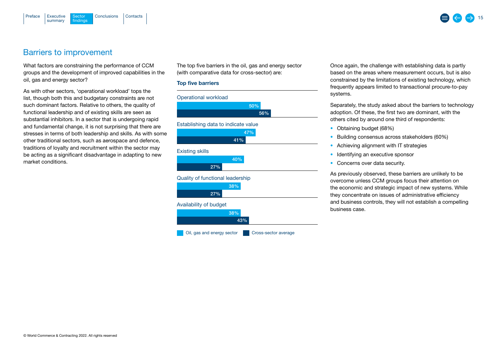<span id="page-14-0"></span>



### Barriers to improvement

What factors are constraining the performance of CCM groups and the development of improved capabilities in the oil, gas and energy sector?

As with other sectors, 'operational workload' tops the list, though both this and budgetary constraints are not such dominant factors. Relative to others, the quality of functional leadership and of existing skills are seen as substantial inhibitors. In a sector that is undergoing rapid and fundamental change, it is not surprising that there are stresses in terms of both leadership and skills. As with some other traditional sectors, such as aerospace and defence, traditions of loyalty and recruitment within the sector may be acting as a significant disadvantage in adapting to new market conditions.

The top five barriers in the oil, gas and energy sector (with comparative data for cross-sector) are:

#### Top five barriers



Once again, the challenge with establishing data is partly based on the areas where measurement occurs, but is also constrained by the limitations of existing technology, which frequently appears limited to transactional procure-to-pay systems.

Separately, the study asked about the barriers to technology adoption. Of these, the first two are dominant, with the others cited by around one third of respondents:

- Obtaining budget (68%)
- Building consensus across stakeholders (60%)
- Achieving alignment with IT strategies
- Identifying an executive sponsor
- Concerns over data security.

As previously observed, these barriers are unlikely to be overcome unless CCM groups focus their attention on the economic and strategic impact of new systems. While they concentrate on issues of administrative efficiency and business controls, they will not establish a compelling business case.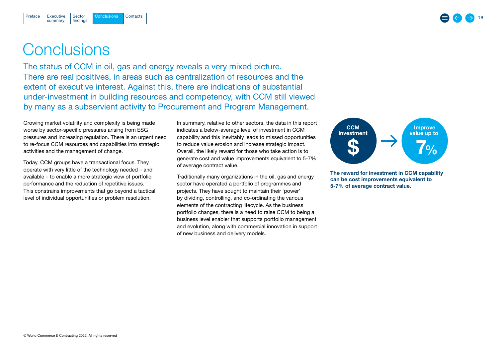[Executive](#page-2-0) Sector Conclusions [Contacts](#page-16-0)

## **Conclusions**

<span id="page-15-0"></span>[Preface](#page-1-0)

The status of CCM in oil, gas and energy reveals a very mixed picture. There are real positives, in areas such as centralization of resources and the extent of executive interest. Against this, there are indications of substantial under-investment in building resources and competency, with CCM still viewed by many as a subservient activity to Procurement and Program Management.

Growing market volatility and complexity is being made worse by sector-specific pressures arising from ESG pressures and increasing regulation. There is an urgent need to re-focus CCM resources and capabilities into strategic activities and the management of change.

Today, CCM groups have a transactional focus. They operate with very little of the technology needed – and available – to enable a more strategic view of portfolio performance and the reduction of repetitive issues. This constrains improvements that go beyond a tactical level of individual opportunities or problem resolution.

In summary, relative to other sectors, the data in this report indicates a below-average level of investment in CCM capability and this inevitably leads to missed opportunities to reduce value erosion and increase strategic impact. Overall, the likely reward for those who take action is to generate cost and value improvements equivalent to 5-7% of average contract value.

Traditionally many organizations in the oil, gas and energy sector have operated a portfolio of programmes and projects. They have sought to maintain their 'power' by dividing, controlling, and co-ordinating the various elements of the contracting lifecycle. As the business portfolio changes, there is a need to raise CCM to being a business level enabler that supports portfolio management and evolution, along with commercial innovation in support of new business and delivery models.



The reward for investment in CCM capability can be cost improvements equivalent to 5-7% of average contract value.